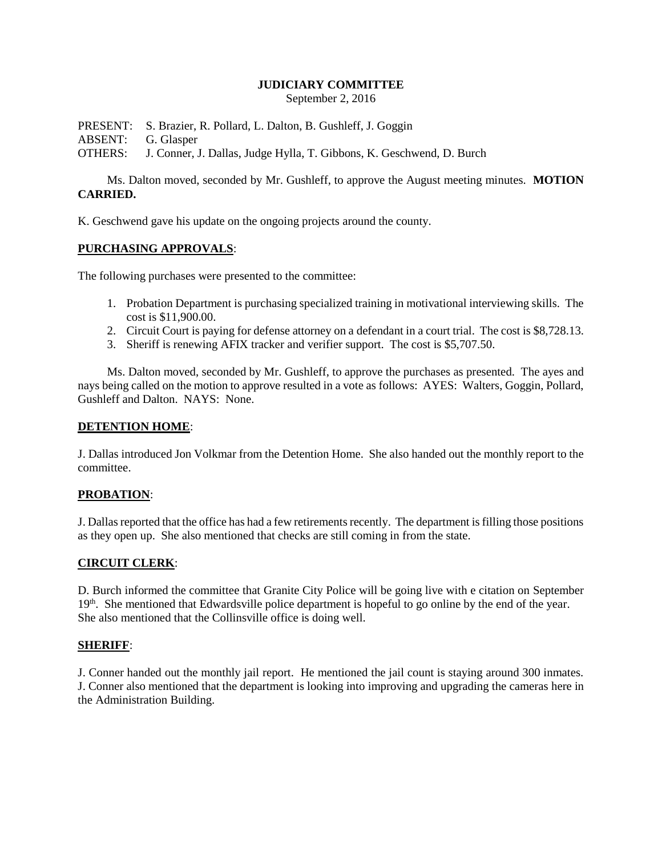## **JUDICIARY COMMITTEE**

September 2, 2016

PRESENT: S. Brazier, R. Pollard, L. Dalton, B. Gushleff, J. Goggin

ABSENT: G. Glasper

OTHERS: J. Conner, J. Dallas, Judge Hylla, T. Gibbons, K. Geschwend, D. Burch

Ms. Dalton moved, seconded by Mr. Gushleff, to approve the August meeting minutes. **MOTION CARRIED.**

K. Geschwend gave his update on the ongoing projects around the county.

## **PURCHASING APPROVALS**:

The following purchases were presented to the committee:

- 1. Probation Department is purchasing specialized training in motivational interviewing skills. The cost is \$11,900.00.
- 2. Circuit Court is paying for defense attorney on a defendant in a court trial. The cost is \$8,728.13.
- 3. Sheriff is renewing AFIX tracker and verifier support. The cost is \$5,707.50.

Ms. Dalton moved, seconded by Mr. Gushleff, to approve the purchases as presented. The ayes and nays being called on the motion to approve resulted in a vote as follows: AYES: Walters, Goggin, Pollard, Gushleff and Dalton. NAYS: None.

### **DETENTION HOME**:

J. Dallas introduced Jon Volkmar from the Detention Home. She also handed out the monthly report to the committee.

#### **PROBATION**:

J. Dallas reported that the office has had a few retirements recently. The department is filling those positions as they open up. She also mentioned that checks are still coming in from the state.

#### **CIRCUIT CLERK**:

D. Burch informed the committee that Granite City Police will be going live with e citation on September 19<sup>th</sup>. She mentioned that Edwardsville police department is hopeful to go online by the end of the year. She also mentioned that the Collinsville office is doing well.

# **SHERIFF**:

J. Conner handed out the monthly jail report. He mentioned the jail count is staying around 300 inmates. J. Conner also mentioned that the department is looking into improving and upgrading the cameras here in the Administration Building.